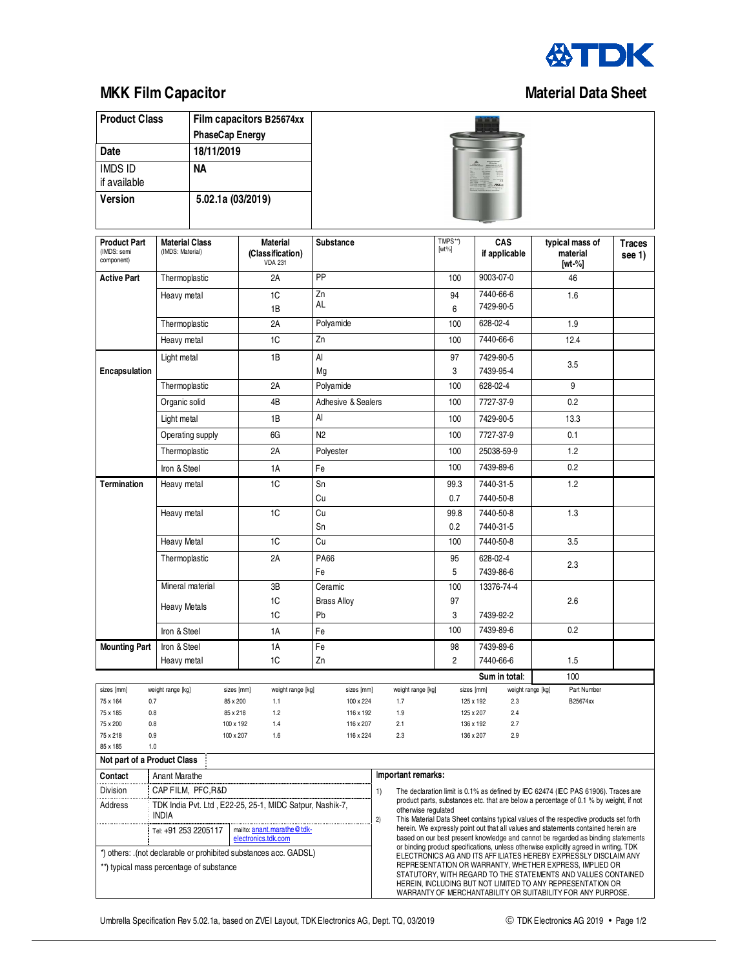

## **MKK Film Capacitor Cancel Accord Capacity Capacitor Capacitor Capacitor Capacitor Capacitor Capacitor Capacitor**

**Product Class Film capacitors B25674xx** 

|                                                                  |                                                                           | PhaseCap Energy  |                        |                                     |                    |                         |  |                                             |                                                                                                                                                                                                       |                         |                                         |      |                                                                                                                                                                                                                                                       |  |  |  |
|------------------------------------------------------------------|---------------------------------------------------------------------------|------------------|------------------------|-------------------------------------|--------------------|-------------------------|--|---------------------------------------------|-------------------------------------------------------------------------------------------------------------------------------------------------------------------------------------------------------|-------------------------|-----------------------------------------|------|-------------------------------------------------------------------------------------------------------------------------------------------------------------------------------------------------------------------------------------------------------|--|--|--|
| Date                                                             |                                                                           | 18/11/2019       |                        |                                     |                    |                         |  |                                             |                                                                                                                                                                                                       |                         |                                         |      |                                                                                                                                                                                                                                                       |  |  |  |
| <b>IMDS ID</b><br>if available                                   |                                                                           | <b>NA</b>        |                        |                                     |                    |                         |  |                                             |                                                                                                                                                                                                       |                         |                                         |      |                                                                                                                                                                                                                                                       |  |  |  |
| <b>Version</b>                                                   |                                                                           |                  | 5.02.1a (03/2019)      |                                     |                    |                         |  |                                             |                                                                                                                                                                                                       |                         |                                         |      |                                                                                                                                                                                                                                                       |  |  |  |
| <b>Product Part</b><br>(IMDS: semi<br>component)                 | <b>Material Class</b><br>(IMDS: Material)<br><b>VDA 231</b>               |                  |                        | <b>Material</b><br>(Classification) | Substance          |                         |  | TMPS**)<br>CAS<br>$[wt\%]$<br>if applicable |                                                                                                                                                                                                       |                         | typical mass of<br>material<br>$[wt-%]$ |      | <b>Traces</b><br>see 1)                                                                                                                                                                                                                               |  |  |  |
| <b>Active Part</b>                                               | Thermoplastic                                                             |                  |                        | 2A                                  | PP                 |                         |  |                                             | 100                                                                                                                                                                                                   | 9003-07-0               |                                         |      | 46                                                                                                                                                                                                                                                    |  |  |  |
|                                                                  | Heavy metal                                                               |                  |                        | 1C                                  | Zn                 |                         |  |                                             | 94                                                                                                                                                                                                    | 7440-66-6               |                                         |      | 1.6                                                                                                                                                                                                                                                   |  |  |  |
|                                                                  | Thermoplastic                                                             |                  |                        | 1B                                  | AL                 |                         |  |                                             | 6                                                                                                                                                                                                     | 7429-90-5               |                                         |      |                                                                                                                                                                                                                                                       |  |  |  |
|                                                                  |                                                                           |                  |                        | 2A                                  | Polyamide          |                         |  |                                             | 100                                                                                                                                                                                                   | $628 - 02 - 4$          |                                         |      | 1.9                                                                                                                                                                                                                                                   |  |  |  |
|                                                                  | Heavy metal                                                               |                  |                        | Zn<br>1C                            |                    |                         |  |                                             | 100                                                                                                                                                                                                   | 7440-66-6               |                                         | 12.4 |                                                                                                                                                                                                                                                       |  |  |  |
| Encapsulation                                                    | Light metal                                                               |                  |                        | 1B                                  | AI<br>Mg           |                         |  |                                             | 97<br>3                                                                                                                                                                                               | 7429-90-5<br>7439-95-4  |                                         | 3.5  |                                                                                                                                                                                                                                                       |  |  |  |
|                                                                  | Thermoplastic<br>Organic solid                                            |                  |                        | 2A<br>Polyamide                     |                    |                         |  |                                             |                                                                                                                                                                                                       | 628-02-4                |                                         |      | 9                                                                                                                                                                                                                                                     |  |  |  |
|                                                                  |                                                                           |                  |                        | 4B                                  | Adhesive & Sealers |                         |  |                                             | 100                                                                                                                                                                                                   | 7727-37-9               |                                         |      | 0.2                                                                                                                                                                                                                                                   |  |  |  |
|                                                                  | Light metal                                                               |                  |                        | 1B                                  | <b>AI</b>          |                         |  |                                             | 100                                                                                                                                                                                                   | 7429-90-5               |                                         | 13.3 |                                                                                                                                                                                                                                                       |  |  |  |
|                                                                  |                                                                           | Operating supply |                        | 6G<br>N <sub>2</sub>                |                    |                         |  |                                             | 100                                                                                                                                                                                                   | 7727-37-9               |                                         | 0.1  |                                                                                                                                                                                                                                                       |  |  |  |
|                                                                  | Thermoplastic                                                             |                  |                        | 2A                                  | Polyester          |                         |  |                                             | 100                                                                                                                                                                                                   | 25038-59-9              |                                         |      | 1.2                                                                                                                                                                                                                                                   |  |  |  |
|                                                                  | Iron & Steel                                                              |                  |                        | 1A                                  |                    |                         |  |                                             | 100                                                                                                                                                                                                   | 7439-89-6               |                                         |      | 0.2                                                                                                                                                                                                                                                   |  |  |  |
| <b>Termination</b>                                               | Heavy metal                                                               |                  |                        | 1C                                  | Fe<br>Sn           |                         |  |                                             | 99.3                                                                                                                                                                                                  | 7440-31-5               |                                         |      | 1.2                                                                                                                                                                                                                                                   |  |  |  |
|                                                                  |                                                                           |                  |                        |                                     | Cu                 |                         |  |                                             | 0.7                                                                                                                                                                                                   | 7440-50-8               |                                         |      |                                                                                                                                                                                                                                                       |  |  |  |
|                                                                  | Heavy metal                                                               |                  |                        | 1C                                  | Cu                 |                         |  |                                             | 99.8                                                                                                                                                                                                  | 7440-50-8               |                                         |      | 1.3                                                                                                                                                                                                                                                   |  |  |  |
|                                                                  |                                                                           |                  |                        |                                     | Sn                 |                         |  |                                             | 0.2                                                                                                                                                                                                   | 7440-31-5               |                                         |      |                                                                                                                                                                                                                                                       |  |  |  |
| <b>Heavy Metal</b>                                               |                                                                           |                  |                        | 1C                                  | Cu                 |                         |  |                                             | 100<br>7440-50-8                                                                                                                                                                                      |                         |                                         | 3.5  |                                                                                                                                                                                                                                                       |  |  |  |
| Thermoplastic                                                    |                                                                           |                  |                        | 2A                                  | <b>PA66</b>        |                         |  |                                             | 95                                                                                                                                                                                                    | 628-02-4                |                                         |      |                                                                                                                                                                                                                                                       |  |  |  |
|                                                                  |                                                                           |                  |                        |                                     | Fe                 |                         |  |                                             | 5                                                                                                                                                                                                     | 7439-86-6<br>13376-74-4 |                                         |      | 2.3                                                                                                                                                                                                                                                   |  |  |  |
|                                                                  |                                                                           | Mineral material |                        | 3B                                  | Ceramic            |                         |  |                                             | 100                                                                                                                                                                                                   |                         |                                         |      |                                                                                                                                                                                                                                                       |  |  |  |
| <b>Heavy Metals</b>                                              |                                                                           |                  |                        | 1C                                  | <b>Brass Alloy</b> |                         |  |                                             | 97                                                                                                                                                                                                    |                         |                                         |      | 2.6                                                                                                                                                                                                                                                   |  |  |  |
|                                                                  |                                                                           |                  |                        | 1C                                  | Pb                 |                         |  |                                             | 3                                                                                                                                                                                                     | 7439-92-2               |                                         |      |                                                                                                                                                                                                                                                       |  |  |  |
|                                                                  | Iron & Steel                                                              |                  |                        | 1A                                  | Fe                 |                         |  |                                             | 100                                                                                                                                                                                                   | 7439-89-6               |                                         |      | 0.2                                                                                                                                                                                                                                                   |  |  |  |
| <b>Mounting Part</b>                                             |                                                                           | Iron & Steel     |                        | 1A                                  | Fe                 |                         |  |                                             | 98                                                                                                                                                                                                    | 7439-89-6               |                                         |      |                                                                                                                                                                                                                                                       |  |  |  |
|                                                                  | Heavy metal                                                               |                  |                        | 1C                                  | Zn                 |                         |  |                                             | $\overline{2}$                                                                                                                                                                                        | 7440-66-6               |                                         |      | 1.5                                                                                                                                                                                                                                                   |  |  |  |
|                                                                  |                                                                           |                  |                        |                                     |                    |                         |  |                                             |                                                                                                                                                                                                       |                         | Sum in total:                           |      | 100                                                                                                                                                                                                                                                   |  |  |  |
| sizes [mm]<br>75 x 164                                           | weight range [kg]<br>0.7                                                  |                  | sizes [mm]<br>85 x 200 | weight range [kg]<br>1.1            |                    | sizes [mm]<br>100 x 224 |  | weight range [kg]<br>1.7                    |                                                                                                                                                                                                       | sizes [mm]<br>125 x 192 | weight range [kg]<br>2.3                |      | Part Number<br>B25674xx                                                                                                                                                                                                                               |  |  |  |
| 75 x 185                                                         | 0.8                                                                       |                  | 85 x 218               | 1.2                                 |                    | 116 x 192               |  | 1.9                                         |                                                                                                                                                                                                       | 125 x 207               | 2.4                                     |      |                                                                                                                                                                                                                                                       |  |  |  |
| 75 x 200                                                         | 0.8                                                                       |                  | 100 x 192              | 1.4                                 |                    | 116 x 207               |  | 2.1                                         |                                                                                                                                                                                                       | 136 x 192               | 2.7                                     |      |                                                                                                                                                                                                                                                       |  |  |  |
| 75 x 218<br>85 x 185                                             | 0.9<br>1.0                                                                |                  | 100 x 207              | 1.6                                 |                    | 116 x 224               |  | 2.3                                         |                                                                                                                                                                                                       | 136 x 207               | 2.9                                     |      |                                                                                                                                                                                                                                                       |  |  |  |
| Not part of a Product Class                                      |                                                                           |                  |                        |                                     |                    |                         |  |                                             |                                                                                                                                                                                                       |                         |                                         |      |                                                                                                                                                                                                                                                       |  |  |  |
| Contact                                                          | <b>Anant Marathe</b>                                                      |                  |                        |                                     |                    |                         |  | Important remarks:                          |                                                                                                                                                                                                       |                         |                                         |      |                                                                                                                                                                                                                                                       |  |  |  |
| Division                                                         | CAP FILM, PFC, R&D                                                        |                  |                        |                                     |                    |                         |  |                                             |                                                                                                                                                                                                       |                         |                                         |      | The declaration limit is 0.1% as defined by IEC 62474 (IEC PAS 61906). Traces are                                                                                                                                                                     |  |  |  |
| Address                                                          | TDK India Pvt. Ltd, E22-25, 25-1, MIDC Satpur, Nashik-7,<br>INDIA         |                  |                        |                                     |                    | 2)                      |  |                                             | product parts, substances etc. that are below a percentage of 0.1 % by weight, if not<br>otherwise regulated<br>This Material Data Sheet contains typical values of the respective products set forth |                         |                                         |      |                                                                                                                                                                                                                                                       |  |  |  |
|                                                                  | mailto: anant.marathe@tdk-<br>Tel: +91 253 2205117<br>electronics.tdk.com |                  |                        |                                     |                    |                         |  |                                             | herein. We expressly point out that all values and statements contained herein are<br>based on our best present knowledge and cannot be regarded as binding statements                                |                         |                                         |      |                                                                                                                                                                                                                                                       |  |  |  |
| *) others: .(not declarable or prohibited substances acc. GADSL) |                                                                           |                  |                        |                                     |                    |                         |  |                                             |                                                                                                                                                                                                       |                         |                                         |      | or binding product specifications, unless otherwise explicitly agreed in writing. TDK<br>ELECTRONICS AG AND ITS AFFILIATES HEREBY EXPRESSLY DISCLAIM ANY                                                                                              |  |  |  |
| **) typical mass percentage of substance                         |                                                                           |                  |                        |                                     |                    |                         |  |                                             |                                                                                                                                                                                                       |                         |                                         |      | REPRESENTATION OR WARRANTY, WHETHER EXPRESS, IMPLIED OR<br>STATUTORY, WITH REGARD TO THE STATEMENTS AND VALUES CONTAINED<br>HEREIN, INCLUDING BUT NOT LIMITED TO ANY REPRESENTATION OR<br>WARRANTY OF MERCHANTABILITY OR SUITABILITY FOR ANY PURPOSE. |  |  |  |